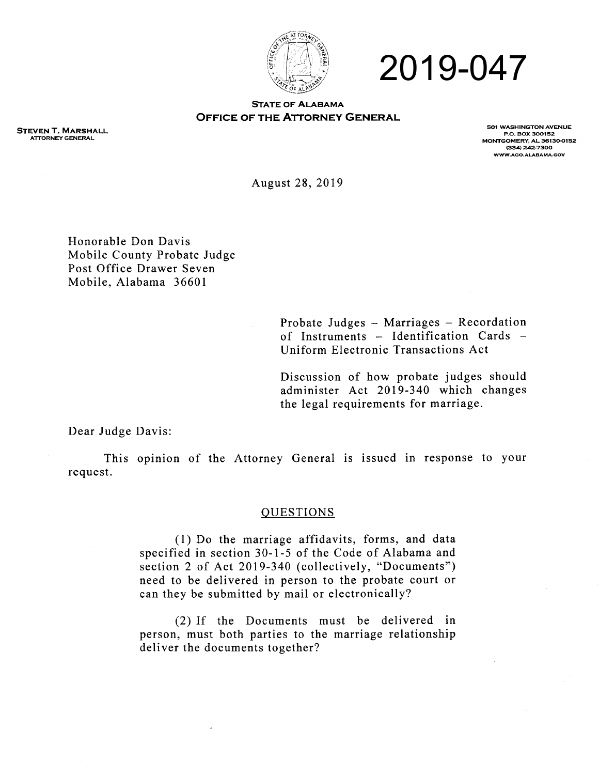

# 2019-047

#### **STATE OF ALABAMA OFFICE OF THE ATTORNEY GENERAL**

STEVEN T. MARSHALL ATTORNEYGENERAL

501 WASHINGTON AVENUE P.O. BOX 300152 MONTGOMERY, AL 36130-0152 (334) 242-7300<br>www.aco.alabama.cov

August 28,2019

Honorable Don Davis Mobile County Probate Judge Post Office Drawer Seven Mobile, Alabama 36601

> Probate Judges - Marriages - Recordation of Instruments  $-$  Identification Cards  $-$ Uniform Electronic Transactions Act

> Discussion of how probate judges should administer Act 2019-340 which changes the legal requirements for marriage.

Dear Judge Davis:

This opinion of the Attorney General is issued in response to your request.

#### OUESTIONS

(1) Do the marriage affidavits, forms, and data specified in section 30-1-5 of the Code of Alabama and section 2 of Act 2019-340 (collectively, "Documents") need to be delivered in person to the probate court or can they be submitted by mail or electronically?

(2) lt the Documents must be delivered in person, must both parties to the marriage relationship deliver the documents together?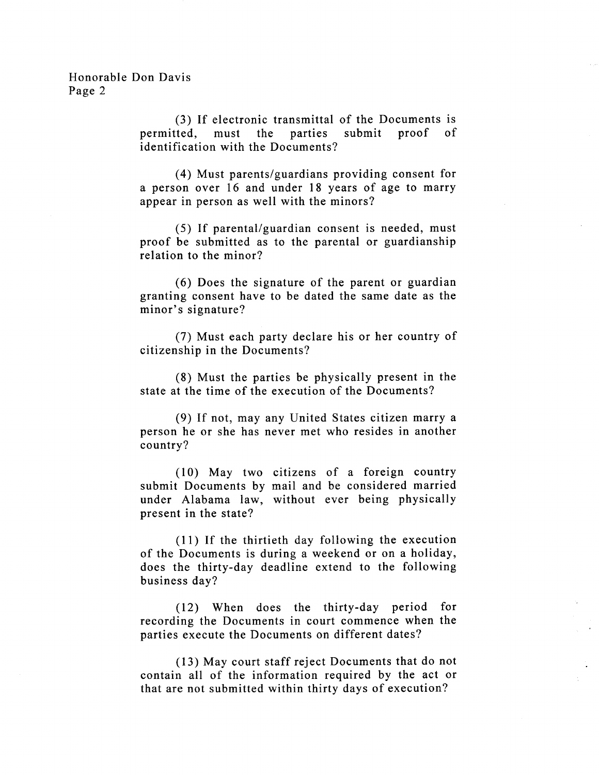(3) If electronic transmittal of the Documents is permitted, must the parties submit proof identification with the Documents? of

(4) Must parents/guardians providing consent for a person over 16 and under 18 years of age to marry appear in person as well with the minors?

(5) If parental/guardian consent is needed, must proof be submitted as to the parental or guardianship relation to the minor?

(6) Does the signature of the parent or guardian granting consent have to be dated the same date as the minor's signature?

(7) Must each party declare his or her country of citizenship in the Documents?

(8) Must the parties be physically present in the state at the time of the execution of the Documents?

(9) If not, may any United States citizen marry <sup>a</sup> person he or she has never met who resides in another country?

( 10) May two citizens of a foreign country submit Documents by mail and be considered married under Alabama 1aw, without ever being physically present in the state?

(ll) If the thirtieth day following the execution of the Documents is during a weekend or on a holiday, does the thirty-day deadline extend to the following business day?

(12) When does the thirty-day period for recording the Documents in court commence when the parties execute the Documents on different dates?

(13) May court staff reject Documents that do not contain all of the information required by the act or that are not submitted within thirty days of execution?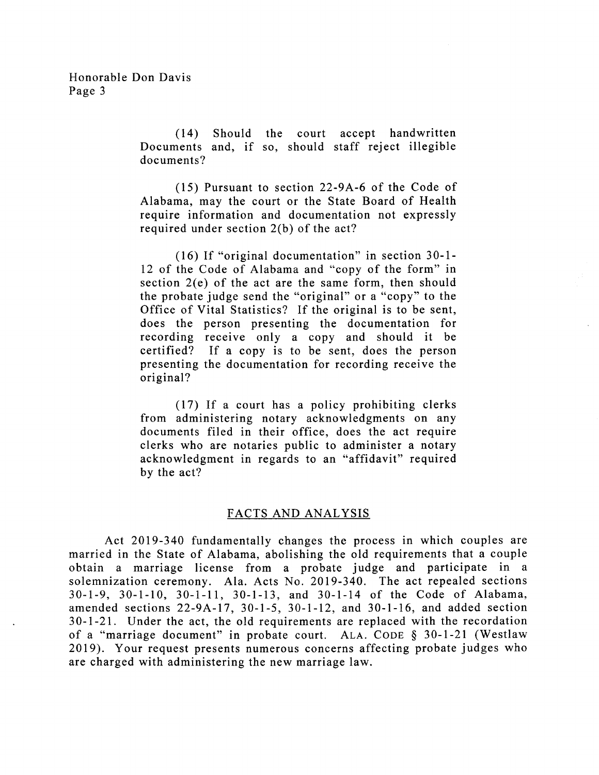( 14) Should the court accept handwritten Documents and, if so, should staff reject illegible documents?

(15) Pursuant to section 22-9A-6 of the Code of Alabama, may the court or the State Board of Health require information and documentation not expressly required under section 2(b) of the act?

(16) If "original documentation" in section 30-1- 12 of the Code of Alabama and "copy of the form" in section 2(e) of the act are the same form, then should the probate judge send the "original" or a "copy" to the Office of Vital Statistics? If the original is to be sent, does the person presenting the documentation for recording receive only a copy and should it be certified? If a copy is to be sent, does the person presenting the documentation for recording receive the original?

(17) If a court has a policy prohibiting clerks from administering notary acknowledgments on any documents filed in their office, does the act require clerks who are notaries public to administer a notary acknowledgment in regards to an "affidavit" required by the act?

## FACTS AND ANALYSIS

Act 2019-340 fundamentally changes the process in which couples are married in the State of Alabama, abolishing the old requirements that a couple obtain a marriage license from a probate judge and participate in <sup>a</sup> solemnization ceremony. Ala. Acts No. 2019-340. The act repealed sections 30-1-9, 30-1-10, 30-1-11, 30-1-13, and 30-l-14 of the Code of Alabama, amended sections 22-9A-17, 30-l-5, 30-l-I2, and 30-1-16, and added section 30-l-21. Under the act, the old requirements are replaced with the recordation of a "marriage document" in probate court. ALA. CODE  $\S$  30-1-21 (Westlaw 2019). Your request presents numerous concerns affecting probate judges who are charged with administering the new marriage law.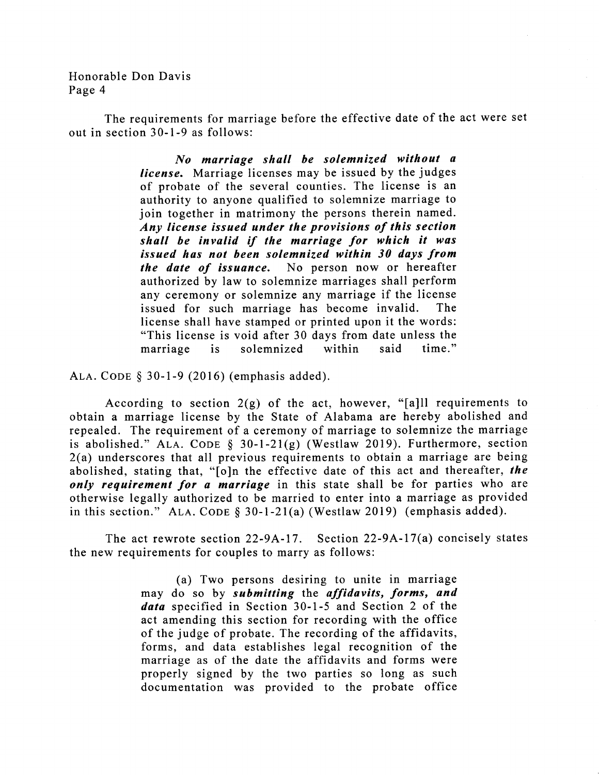The requirements for marriage before the effective date of the act were set out in section 30-1-9 as follows:

> No marriage shall be solemnized without <sup>a</sup> license. Marriage licenses may be issued by the judges of probate of the several counties. The license is an authority to anyone qualified to solemnize marriage to join together in matrimony the persons therein named. Any license issued under the provisions of this section shall be invalid if the marriage for which it was issued has not been solemnized within 30 days from the date of issuance. No person now or hereafter authorized by law to solemnize marriages shall perform any ceremony or solemnize any marriage if the license issued for such marriage has become invalid. The license shall have stamped or printed upon it the words: "This license is void after 30 days from date unless the marriage is solemnized within said time."

ALA. CODE  $$30-1-9(2016)$  (emphasis added).

According to section  $2(g)$  of the act, however, "[a]ll requirements to obtain a marriage license by the State of Alabama are hereby abolished and repealed. The requirement of a ceremony of marriage to solemnize the marriage is abolished." ALA. CODE  $\S$  30-1-21(g) (Westlaw 2019). Furthermore, section 2(a) underscores that all previous requirements to obtain a marriage are being abolished, stating that, "[o]n the effective date of this act and thereafter, the only requirement for a marriage in this state shall be for parties who are otherwise legally authorized to be married to enter into a marriage as provided in this section." ALA. CODE  $\S$  30-1-21(a) (Westlaw 2019) (emphasis added).

The act rewrote section 22-9A-17. Section 22-9A-17(a) concisely states the new requirements for couples to marry as follows:

> (a) Two persons desiring to unite in marriage may do so by submitting the affidavits, forms, and data specified in Section 30-1-5 and Section 2 of the act amending this section for recording with the office of the judge of probate. The recording of the affidavits, forms, and data establishes legal recognition of the marriage as of the date the affidavits and forms were properly signed by the two parties so long as such documentation was provided to the probate office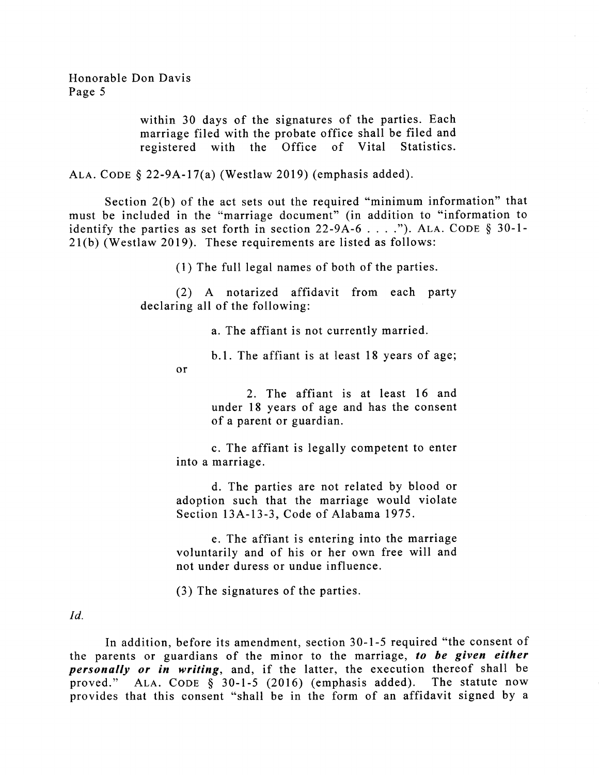> within 30 days of the signatures of the parties. Each marriage filed with the probate office shall be filed and registered with the Office of Vital Statistics.

ALA. CODE  $\S$  22-9A-17(a) (Westlaw 2019) (emphasis added).

or

Section 2(b) of the act sets out the required "minimum information" that must be included in the "marriage document" (in addition to "information to identify the parties as set forth in section  $22-9A-6$ ...."). ALA. CODE § 30-1-2l(b) (Westlaw 2019). These requirements are listed as follows:

(1) The full legal names of both of the parties.

(2) A notarized affidavit from each party declaring all of the following:

a. The affiant is not currently married.

b.1. The affiant is at least 18 years of age;

2. The affiant is at least 16 and under 18 years of age and has the consent of a parent or guardian.

c. The affiant is legally competent to enter into a marriage.

d. The parties are not related by blood or adoption such that the marriage would violate Section 13A-13-3, Code of Alabama 1975.

e. The affiant is entering into the marriage voluntarily and of his or her own free will and not under duress or undue influence.

(3) The signatures of the parties.

 $Id.$ 

In addition, before its amendment, section 30-l-5 required "the consent of the parents or guardians of the minor to the marriage, to be given either personally or in writing, and, if the latter, the execution thereof shall be proved." ALA. CODE  $\frac{1}{9}$  30-1-5 (2016) (emphasis added). The statute now provides that this consent "shall be in the form of an affidavit signed by a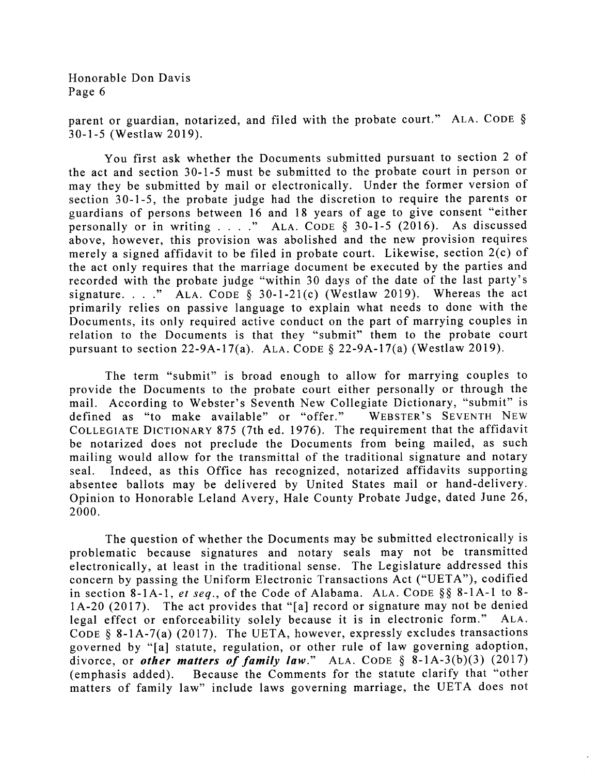parent or guardian, notarized, and filed with the probate court." ALA. CODE  $\S$ 30-1-5 (Westlaw 2019).

You first ask whether the Documents submitted pursuant to section 2 of the act and section 30-1-5 must be submitted to the probate court in person or may they be submitted by mail or electronically. Under the former version of section 30-1-5, the probate judge had the discretion to require the parents or guardians of persons between 16 and 18 years of age to give consent "either personally or in writing . . . ." ALA. CODE  $\S$  30-1-5 (2016). As discussed above, however, this provision was abolished and the new provision requires merely a signed affidavit to be filed in probate court. Likewise, section 2(c) of the act only requires that the marriage document be executed by the parties and recorded with the probate judge "within 30 days of the date of the last party's signature. . . ." ALA. CODE  $\S$  30-1-21(c) (Westlaw 2019). Whereas the act primarily relies on passive language to explain what needs to done with the Documents, its only required active conduct on the part of marrying couples in relation to the Documents is that they "submit" them to the probate court pursuant to section 22-9A-17(a). ALA. CODE  $\S$  22-9A-17(a) (Westlaw 2019).

The term "submit" is broad enough to allow for marrying couples to provide the Documents to the probate court either personally or through the mail. According to Webster's Seventh New Collegiate Dictionary, "submit" is defined as "to make available" or "offer." WEBSTER'S SEVENTH NEW defined as "to make available" or "offer." COLLEGIATE DICTIONARY 875 (7th ed. 1976). The requirement that the affidavit be notarized does not preclude the Documents from being mailed, as such mailing would allow for the transmittal of the traditional signature and notary seal. Indeed, as this Office has recognized, notarized affidavits supporting absentee ballots may be delivered by United States mail or hand-delivery. Opinion to Honorable Leland Avery, Hale County Probate Judge, dated June 26, 2000.

The question of whether the Documents may be submitted electronically is problematic because signatures and notary seals may not be transmitted electronically, at least in the traditional sense. The Legislature addressed this concern by passing the Uniform Electronic Transactions Act ("UETA"), codified in section 8-1A-1, et seq., of the Code of Alabama. ALA. CODE § § 8-1A-1 to 8-1A-20 (2017). The act provides that "[a] record or signature may not be denied legal effect or enforceability solely because it is in electronic form." Ala. CODE  $§ 8-1A-7(a)$  (2017). The UETA, however, expressly excludes transactions governed by "Ia] statute, regulation, or other rule of law governing adoption, divorce, or *other matters of family law*." ALA. CODE  $\S$  8-1A-3(b)(3) (2017) (emphasis added). Because the Comments for the statute clarify that "other Because the Comments for the statute clarify that "other matters of family law" include laws governing marriage, the UETA does not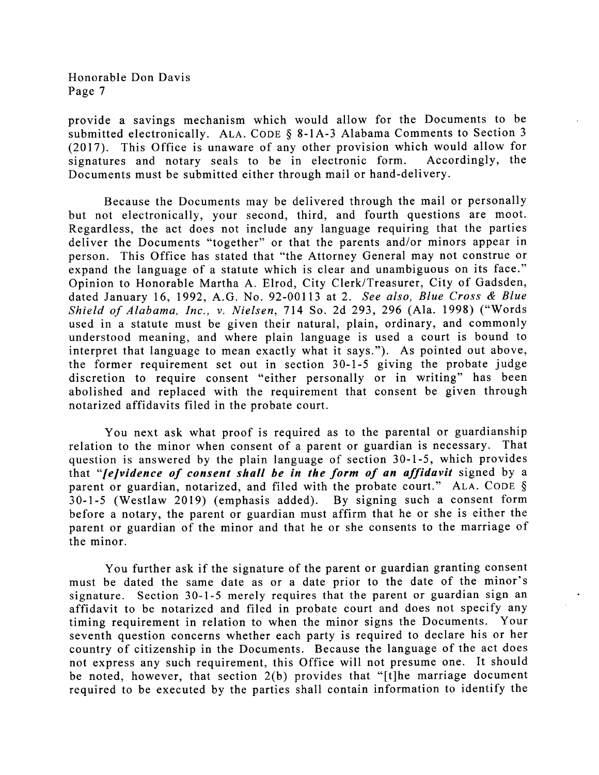provide a savings mechanism which would allow for the Documents to be submitted electronically. ALA. CODE  $\S$  8-1A-3 Alabama Comments to Section 3 (2017). This Office is unaware of any other provision which would allow for signatures and notary seals to be in electronic form. Accordingly, the signatures and notary seals to be in electronic form. Documents must be submitted either through mail or hand-delivery.

Because the Documents may be delivered through the mail or personally but not electronically, your second, third, and fourth questions are moot. Regardless, the act does not include any language requiring that the parties deliver the Documents "together" or that the parents and/or minors appear in person. This Office has stated that "the Attorney General may not construe or expand the language of a statute which is clear and unambiguous on its face." Opinion to Honorable Martha A. Elrod, City Clerk/Treasurer, City of Gadsden, dated January 16, 1992, A.G. No. 92-00113 at 2. See also, Blue Cross & Blue Shield of Alabama, Inc., v. Nielsen, Tl4 So. 2d 293,296 (Ala. 1998) ("Words used in a statute must be given their natural, plain, ordinary, and commonly understood meaning, and where plain language is used a court is bound to interpret that language to mean exactly what it says."). As pointed out above, the former requirement set out in section 30-l-5 giving the probate judge discretion to require consent "either personally or in writing" has been abolished and replaced with the requirement that consent be given through notarized affidavits filed in the probate court.

You next ask what proof is required as to the parental or guardianship relation to the minor when consent of a parent or guardian is necessary. That question is answered by the plain language of section 30-1-5, which provides that "*[e]vidence of consent shall be in the form of an affidavit* signed by a parent or guardian, notarized, and filed with the probate court." ALA. CODE § 30-l-5 (Westlaw 2019) (emphasis added). By signing such a consent form before a notary, the parent or guardian must affirm that he or she is either the parent or guardian of the minor and that he or she consents to the marriage of the minor.

You further ask if the signature of the parent or guardian granting consent must be dated the same date as or a date prior to the date of the minor's signature. Section 30-1-5 merely requires that the parent or guardian sign an affidavit to be notarized and filed in probate court and does not specify any timing requirement in relation to when the minor signs the Documents. Your seventh question concerns whether each party is required to declare his or her country of citizenship in the Documents. Because the language of the act does not express any such requirement, this Office will not presume one. It should be noted, however, that section 2(b) provides that "[t]he marriage document required to be executed by the parties shall contain information to identify the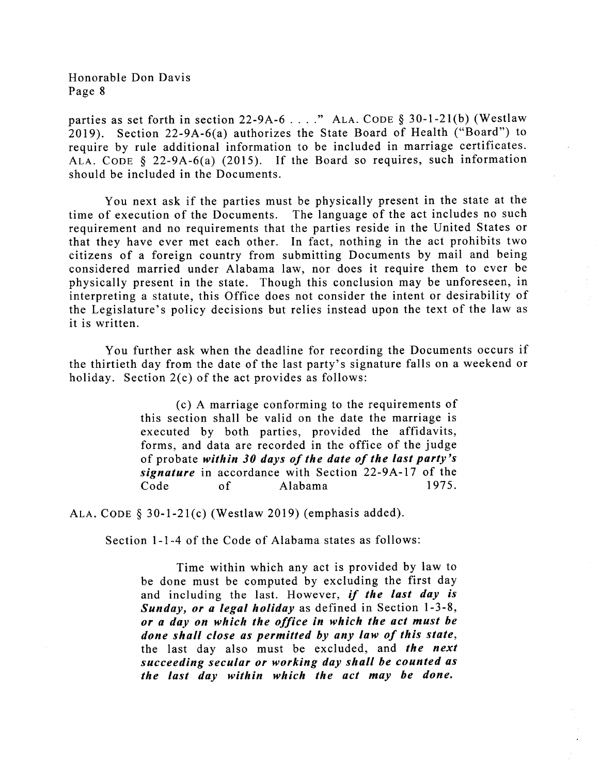parties as set forth in section 22-9A-6 . . . ." ALA. CODE  $\S 30$ -1-21(b) (Westlaw 2019). Section 22-9A-6(a) authorizes the State Board of Health ("Board") to require by rule additional information to be included in marriage certificates. ALA. CODE  $\S$  22-9A-6(a) (2015). If the Board so requires, such information should be included in the Documents.

You next ask if the parties must be physically present in the state at the time of execution of the Documents. The language of the act includes no such requirement and no requirements that the parties reside in the United States or that they have ever met each other. In fact, nothing in the act prohibits two citizens of a foreign country from submitting Documents by mail and being considered married under Alabama law, nor does it require them to ever be physically present in the state. Though this conclusion may be unforeseen, in interpreting a statute, this Office does not consider the intent or desirability of the Legislature's policy decisions but relies instead upon the text of the law as it is written.

You further ask when the deadline for recording the Documents occurs if the thirtieth day from the date of the last party's signature falls on a weekend or holiday. Section 2(c) of the act provides as follows:

> (c) A marriage conforming to the requirements of this section shall be valid on the date the marriage is executed by both parties, provided the affidavits, forms, and data are recorded in the office of the judge of probate within 30 days of the date of the last party's signature in accordance with Section 22-9A-17 of the<br>Code of Alabama 1975. Code of Alabama

ALA. CODE § 30-1-21(c) (Westlaw 2019) (emphasis added).

Section l-l-4 of the Code of Alabama states as follows:

Time within which any act is provided by law to be done must be computed by excluding the first day and including the last. However, if the last day is Sunday, or a legal holiday as defined in Section 1-3-8, or a day on which the office in which the act must be done shall close as permitted by any law of this state, the last day also must be excluded, and the next succeeding secular or working day shall be counted as the last day within which the act may be done.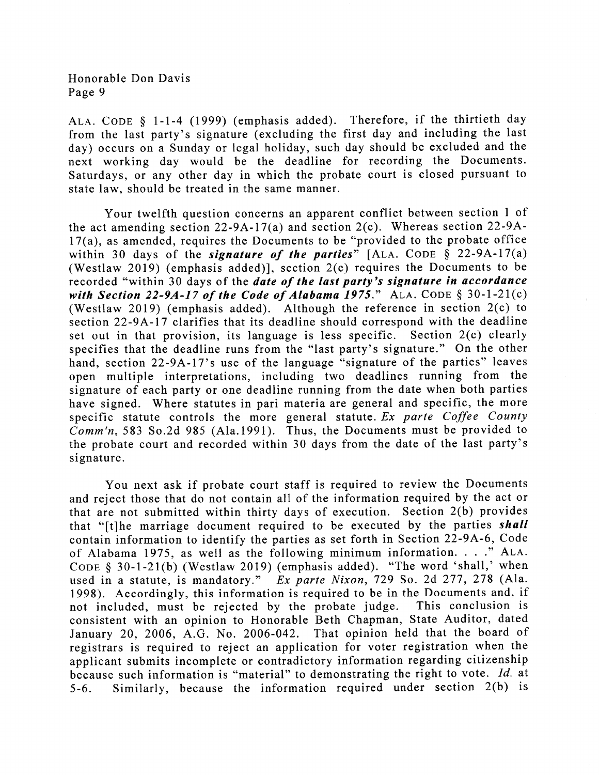ALA. CODE § 1-1-4 (1999) (emphasis added). Therefore, if the thirtieth day from the last party's signature (excluding the first day and including the last day) occurs on a Sunday or legal holiday, such day should be excluded and the next working day would be the deadline for recording the Documents. Saturdays, or any other day in which the probate court is closed pursuant to state law, should be treated in the same manner.

Your twelfth question concerns an apparent conflict between section I of the act amending section  $22-9A-17(a)$  and section  $2(c)$ . Whereas section  $22-9A-$ 17(a), as amended, requires the Documents to be "provided to the probate office within 30 days of the *signature of the parties*" [ALA. CODE  $\hat{\S}$  22-9A-17(a) (Westlaw 2019) (emphasis added)], section  $2(c)$  requires the Documents to be recorded "within 30 days of the *date of the last party's signature in accordance* with Section 22-9A-17 of the Code of Alabama 1975." ALA. CODE  $\S 30$ -1-21(c) (Westlaw 2019) (emphasis added). Although the reference in section 2(c) to section 22-9A-17 clarifies that its deadline should correspond with the deadline set out in that provision, its language is less specific. Section 2(c) clearly specifies that the deadline runs from the "last party's signature." On the other hand, section 22-9A-17's use of the language "signature of the parties" leaves open multiple interpretations, including two deadlines running from the signature of each party or one deadline running from the date when both parties have signed. Where statutes in pari materia are general and specific, the more specific statute controls the more general statute. Ex parte Coffee County Comm'n, 583 So.2d 985 (Ala.1991). Thus, the Documents must be provided to the probate court and recorded within 30 days from the date of the last party's signature.

You next ask if probate court staff is required to review the Documents and reject those that do not contain all of the information required by the act or that are not submitted within thirty days of execution. Section 2(b) provides that "[t]he marriage document required to be executed by the parties shall contain information to identify the parties as set forth in Section 22-9A-6, Code of Alabama 1975, as well as the following minimum information.  $\ldots$ ." ALA. CODE  $\S$  30-1-21(b) (Westlaw 2019) (emphasis added). "The word 'shall,' when used in a statute, is mandatory." Ex parte Nixon, 729 So. 2d 277, 278 (Ala.  $Ex$  parte Nixon, 729 So. 2d 277, 278 (Ala. 1998). Accordingly, this information is required to be in the Documents and, if not included, must be rejected by the probate judge. This conclusion is not included, must be rejected by the probate judge. consistent with an opinion to Honorable Beth Chapman, State Auditor, dated January 20, 2006, A.G. No. 2006-042. That opinion held that the board of registrars is required to reject an application for voter registration when the applicant submits incomplete or contradictory information regarding citizenship because such information is "material" to demonstrating the right to vote. Id. at 5-6. Similarly, because the information required under section 2(b) is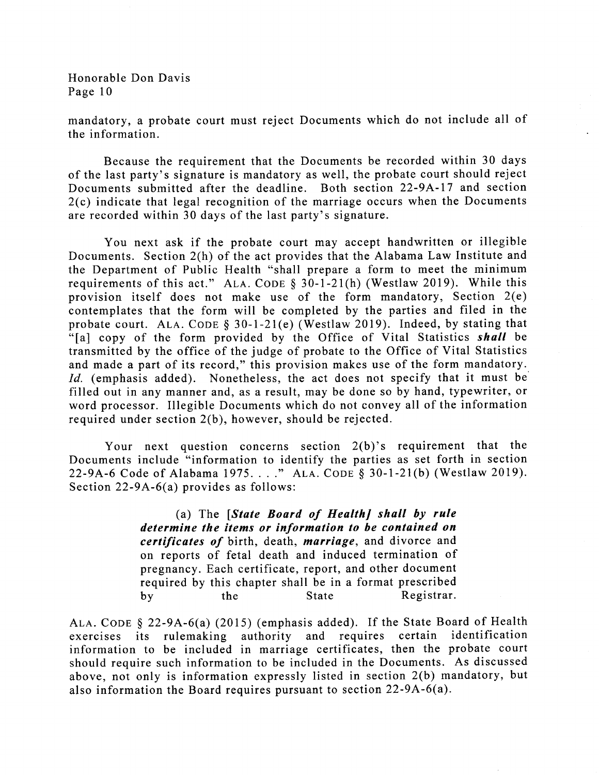mandatory, a probate court must reject Documents which do not include all of the information.

Because the requirement that the Documents be recorded within 30 days of the last party's signature is mandatory as well, the probate court should reject Documents submitted after the deadline. Both section 22-9A-17 and section 2(c) indicate that legal recognition of the marriage occurs when the Documents are recorded within 30 days of the last party's signature.

You next ask if the probate court may accept handwritten or illegible Documents. Section 2(h) of the act provides that the Alabama Law Institute and the Department of Public Health "shall prepare a form to meet the minimum requirements of this act." ALA. CODE  $\S$  30-1-21(h) (Westlaw 2019). While this provision itself does not make use of the form mandatory, Section 2(e) contemplates that the form will be completed by the parties and filed in the probate court. ALA. CODE § 30-1-21(e) (Westlaw 2019). Indeed, by stating that "[a] copy of the form provided by the Office of Vital Statistics shall be transmitted by the office of the judge of probate to the Office of Vital Statistics and made a part of its record," this provision makes use of the form mandatory. Id. (emphasis added). Nonetheless, the act does not specify that it must be filled out in any manner and, as a result, may be done so by hand, typewriter, or word processor. Illegible Documents which do not convey all of the information required under section 2(b), however, should be rejected.

Your next question concerns section  $2(b)$ 's requirement that the Documents include "information to identify the parties as set forth in section 22-9A-6 Code of Alabama 1975. . . ." ALA. CODE § 30-1-21(b) (Westlaw 2019). Section 22-9A-6(a) provides as follows:

> (a) The  $S$ tate Board of Health] shall by rule determine the items or information to be contained on certificates of birth, death, marriage, and divorce and on reports of fetal death and induced termination of pregnancy. Each certificate, report, and other document required by this chapter shall be in a format prescribed by the State Registrar.

ALA. CODE  $\S$  22-9A-6(a) (2015) (emphasis added). If the State Board of Health exercises its rulemaking authority and requires certain identification information to be included in marriage certificates, then the probate court should require such information to be included in the Documents. As discussed above, not only is information expressly listed in section 2(b) mandatory, but also information the Board requires pursuant to section  $22-9A-6(a)$ .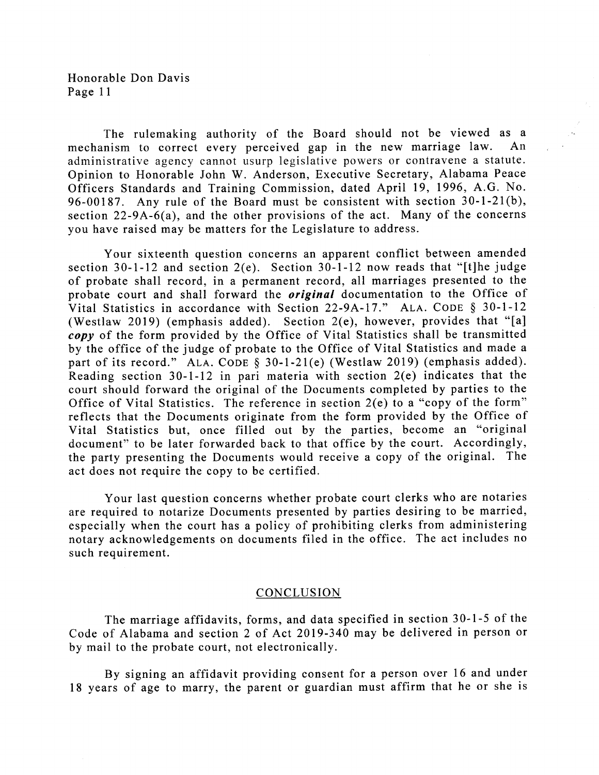The rulemaking authority of the Board should not be viewed as a nism to correct every nerceived gan in the new marriage law. An mechanism to correct every perceived gap in the new marriage law. administrative agency cannot usurp legislative powers or contravene a statute. Opinion to Honorable John W. Anderson, Executive Secretary, Alabama Peace Officers Standards and Training Commission, dated April 19, 1996, A.G. No. 96-00187. Any rule of the Board must be consistent with section 30-l-21(b), section 22-9A-6(a), and the other provisions of the act. Many of the concerns you have raised may be matters for the Legislature to address.

Your sixteenth question concerns an apparent conflict between amended section 30-1-12 and section 2(e). Section 30-1-12 now reads that "[t]he judge of probate shall record, in a permanent record, all marriages presented to the probate court and shall forward the *original* documentation to the Office of Vital Statistics in accordance with Section 22-9A-17." ALA. CODE  $\S$  30-1-12 (Westlaw 2019) (emphasis added). Section  $2(e)$ , however, provides that "[a] copy of the form provided by the Office of Vital Statistics shall be transmitted by the office of the judge of probate to the Office of Vital Statistics and made <sup>a</sup> part of its record." ALA. CODE § 30-1-21(e) (Westlaw 2019) (emphasis added). Reading section 30-l-12 in pari materia with section 2(e) indicates that the court should forward the original of the Documents completed by parties to the Office of Vital Statistics. The reference in section 2(e) to a "copy of the form" reflects that the Documents originate from the form provided by the Office of Vital Statistics but, once filled out by the parties, become an "original document" to be later forwarded back to that office by the court. Accordingly, the party presenting the Documents would receive a copy of the original. The act does not require the copy to be certified.

Your last question concerns whether probate court clerks who are notaries are required to notarize Documents presented by parties desiring to be married, especially when the court has a policy of prohibiting clerks from administering notary acknowledgements on documents filed in the office. The act includes no such requirement.

#### **CONCLUSION**

The marriage affidavits, forms, and data specified in section 30-1-5 of the Code of Alabama and section 2 of Act 2019-340 may be delivered in person or by mail to the probate court, not electronically.

By signing an affidavit providing consent for a person over 16 and under 18 years of age to marry, the parent or guardian must affirm that he or she is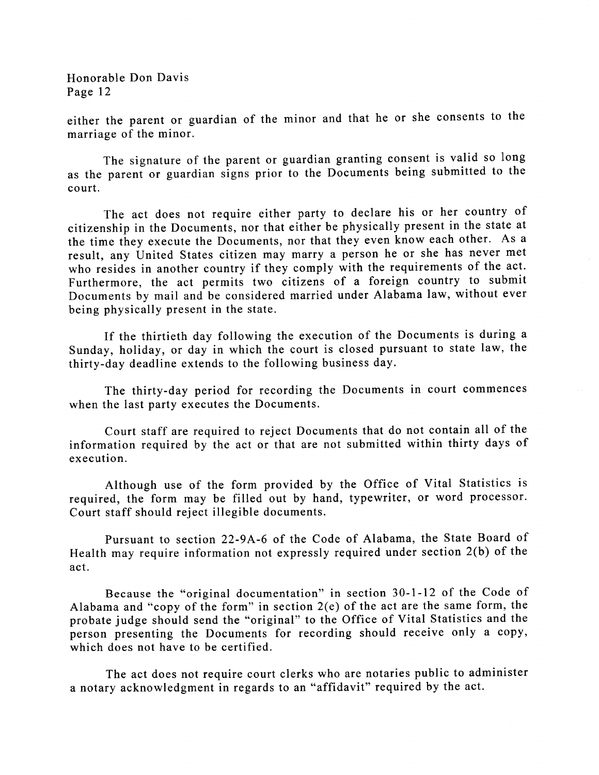either the parent or guardian of the minor and that he or she consents to the marriage of the minor.

The signature of the parent or guardian granting consent is valid so long as the parent or guardian signs prior to the Documents being submitted to the court.

The act does not require either party to declare his or her country of citizenship in the Documents, nor that either be physically present in the state at the time they execute the Documents, nor that they even know each other. As <sup>a</sup> result, any United States citizen may marry a person he or she has never met who resides in another country if they comply with the requirements of the act. Furthermore, the act permits two citizens of a foreign country to submit Documents by mail and be considered married under Alabama law, without ever being physically present in the state.

If the thirtieth day following the execution of the Documents is during <sup>a</sup> Sunday, holiday, or day in which the court is closed pursuant to state law, the thirty-day deadline extends to the following business day.

The thirty-day period for recording the Documents in court commences when the last party executes the Documents.

Court staff are required to reject Documents that do not contain all of the information required by the act or that are not submitted within thirty days of execution.

Although use of the form provided by the Office of Vital Statistics is required, the form may be filled out by hand, typewriter, or word processor. Court staff should reject illegible documents.

Pursuant to section 22-9A-6 of the Code of Alabama, the State Board of Health may require information not expressly required under section 2(b) of the act.

Because the "original documentation" in section 30-l-12 of the Code of Alabama and "copy of the form" in section 2(e) of the act are the same form, the probate judge should send the "original" to the Office of Vital Statistics and the person presenting the Documents for recording should receive only a copy, which does not have to be certified.

The act does not require court clerks who are notaries public to administer a notary acknowledgment in regards to an "affidavit" required by the act.